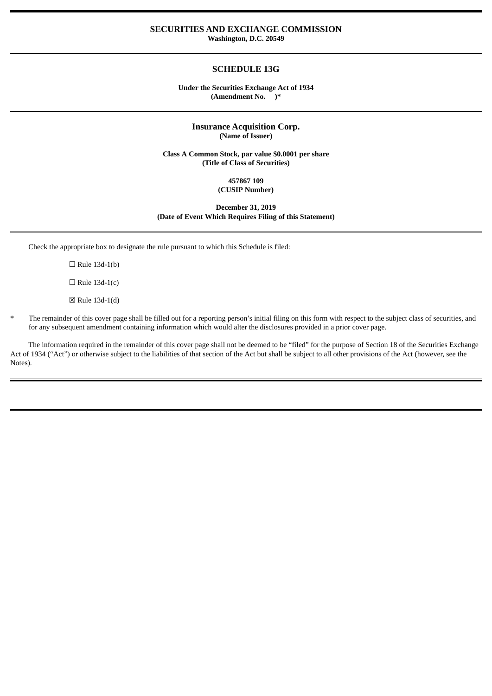### **SECURITIES AND EXCHANGE COMMISSION Washington, D.C. 20549**

## **SCHEDULE 13G**

#### **Under the Securities Exchange Act of 1934 (Amendment No. )\***

### **Insurance Acquisition Corp. (Name of Issuer)**

**Class A Common Stock, par value \$0.0001 per share (Title of Class of Securities)**

#### **457867 109 (CUSIP Number)**

#### **December 31, 2019 (Date of Event Which Requires Filing of this Statement)**

Check the appropriate box to designate the rule pursuant to which this Schedule is filed:

- $\Box$  Rule 13d-1(b)
- $\Box$  Rule 13d-1(c)
- ☒ Rule 13d-1(d)
- The remainder of this cover page shall be filled out for a reporting person's initial filing on this form with respect to the subject class of securities, and for any subsequent amendment containing information which would alter the disclosures provided in a prior cover page.

The information required in the remainder of this cover page shall not be deemed to be "filed" for the purpose of Section 18 of the Securities Exchange Act of 1934 ("Act") or otherwise subject to the liabilities of that section of the Act but shall be subject to all other provisions of the Act (however, see the Notes).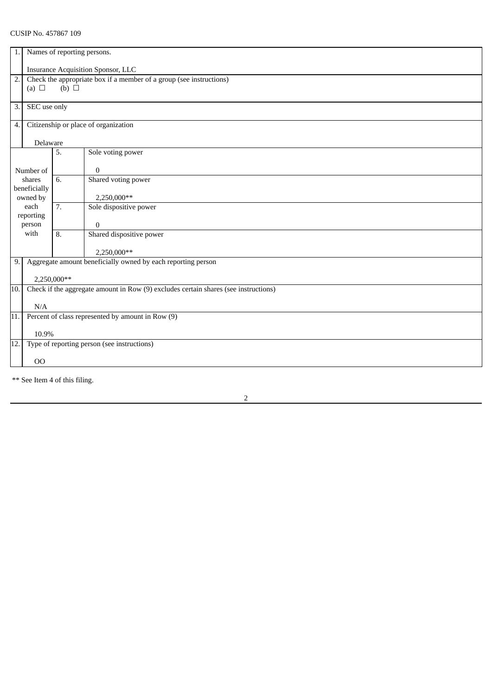| 1.                                                                                         | Names of reporting persons.                                                                     |                                                   |                                      |  |  |
|--------------------------------------------------------------------------------------------|-------------------------------------------------------------------------------------------------|---------------------------------------------------|--------------------------------------|--|--|
|                                                                                            | <b>Insurance Acquisition Sponsor, LLC</b>                                                       |                                                   |                                      |  |  |
| $\overline{2}$ .                                                                           | Check the appropriate box if a member of a group (see instructions)<br>(b) $\Box$<br>(a) $\Box$ |                                                   |                                      |  |  |
| 3.                                                                                         | SEC use only                                                                                    |                                                   |                                      |  |  |
| Citizenship or place of organization<br>4.                                                 |                                                                                                 |                                                   |                                      |  |  |
| Delaware                                                                                   |                                                                                                 |                                                   |                                      |  |  |
|                                                                                            |                                                                                                 | 5.                                                | Sole voting power                    |  |  |
| Number of                                                                                  |                                                                                                 |                                                   | $\overline{0}$                       |  |  |
| shares                                                                                     |                                                                                                 | 6.                                                | Shared voting power                  |  |  |
|                                                                                            | beneficially<br>owned by                                                                        |                                                   | 2,250,000**                          |  |  |
| each                                                                                       |                                                                                                 | 7.                                                | Sole dispositive power               |  |  |
| reporting                                                                                  |                                                                                                 |                                                   |                                      |  |  |
| person<br>with                                                                             |                                                                                                 | 8.                                                | $\Omega$<br>Shared dispositive power |  |  |
|                                                                                            |                                                                                                 |                                                   |                                      |  |  |
|                                                                                            |                                                                                                 |                                                   | 2,250,000**                          |  |  |
| Aggregate amount beneficially owned by each reporting person<br>9.                         |                                                                                                 |                                                   |                                      |  |  |
|                                                                                            | 2,250,000**                                                                                     |                                                   |                                      |  |  |
| Check if the aggregate amount in Row (9) excludes certain shares (see instructions)<br>10. |                                                                                                 |                                                   |                                      |  |  |
|                                                                                            | N/A                                                                                             |                                                   |                                      |  |  |
| 11.                                                                                        |                                                                                                 | Percent of class represented by amount in Row (9) |                                      |  |  |
|                                                                                            | 10.9%                                                                                           |                                                   |                                      |  |  |
| Type of reporting person (see instructions)<br>12.                                         |                                                                                                 |                                                   |                                      |  |  |
|                                                                                            |                                                                                                 |                                                   |                                      |  |  |
|                                                                                            | 00                                                                                              |                                                   |                                      |  |  |

\*\* See Item 4 of this filing.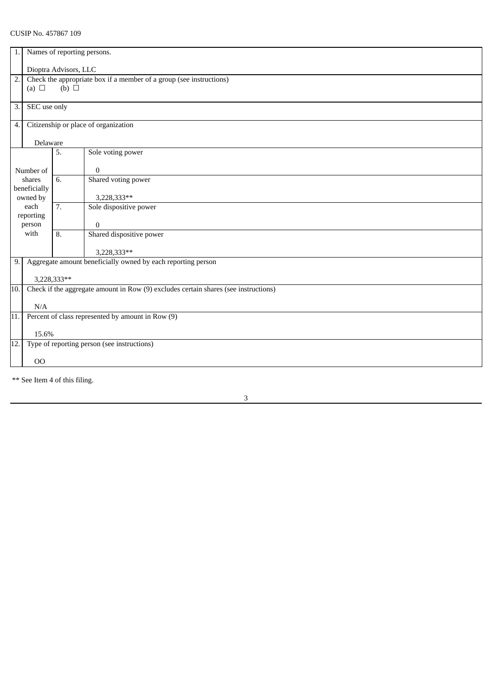| Names of reporting persons.<br>1.                                                                                        |                                                                    |                                                                             |  |  |
|--------------------------------------------------------------------------------------------------------------------------|--------------------------------------------------------------------|-----------------------------------------------------------------------------|--|--|
| Dioptra Advisors, LLC                                                                                                    |                                                                    |                                                                             |  |  |
| $\overline{2}$ .<br>Check the appropriate box if a member of a group (see instructions)<br>$(b)$ $\square$<br>(a) $\Box$ |                                                                    |                                                                             |  |  |
| 3.<br>SEC use only                                                                                                       |                                                                    |                                                                             |  |  |
|                                                                                                                          | Citizenship or place of organization                               |                                                                             |  |  |
|                                                                                                                          |                                                                    |                                                                             |  |  |
|                                                                                                                          | 5.                                                                 | Sole voting power                                                           |  |  |
|                                                                                                                          |                                                                    | $\bf{0}$                                                                    |  |  |
| shares                                                                                                                   | 6.                                                                 | Shared voting power                                                         |  |  |
|                                                                                                                          |                                                                    | 3,228,333**                                                                 |  |  |
| each                                                                                                                     | 7.                                                                 | Sole dispositive power                                                      |  |  |
|                                                                                                                          |                                                                    | $\Omega$                                                                    |  |  |
| with                                                                                                                     | 8.                                                                 | Shared dispositive power                                                    |  |  |
|                                                                                                                          |                                                                    |                                                                             |  |  |
|                                                                                                                          |                                                                    | 3,228,333**<br>Aggregate amount beneficially owned by each reporting person |  |  |
|                                                                                                                          |                                                                    |                                                                             |  |  |
| 3,228,333**                                                                                                              |                                                                    |                                                                             |  |  |
| Check if the aggregate amount in Row (9) excludes certain shares (see instructions)<br>10.                               |                                                                    |                                                                             |  |  |
| N/A                                                                                                                      |                                                                    |                                                                             |  |  |
| Percent of class represented by amount in Row (9)                                                                        |                                                                    |                                                                             |  |  |
| 15.6%                                                                                                                    |                                                                    |                                                                             |  |  |
|                                                                                                                          |                                                                    | Type of reporting person (see instructions)                                 |  |  |
|                                                                                                                          |                                                                    |                                                                             |  |  |
|                                                                                                                          | Number of<br>beneficially<br>owned by<br>reporting<br>person<br>00 | Delaware                                                                    |  |  |

\*\* See Item 4 of this filing.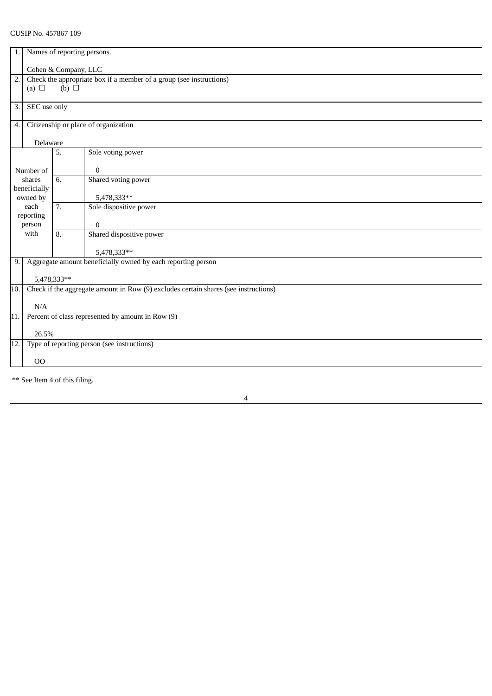| 1.                                                                                         | Names of reporting persons. |                                                                                        |                                                              |  |  |  |
|--------------------------------------------------------------------------------------------|-----------------------------|----------------------------------------------------------------------------------------|--------------------------------------------------------------|--|--|--|
|                                                                                            | Cohen & Company, LLC        |                                                                                        |                                                              |  |  |  |
| $\overline{2}$ .                                                                           | (a) $\Box$                  | Check the appropriate box if a member of a group (see instructions)<br>$(b)$ $\square$ |                                                              |  |  |  |
|                                                                                            |                             |                                                                                        |                                                              |  |  |  |
| 3.                                                                                         | SEC use only                |                                                                                        |                                                              |  |  |  |
| Citizenship or place of organization<br>4.                                                 |                             |                                                                                        |                                                              |  |  |  |
| Delaware                                                                                   |                             |                                                                                        |                                                              |  |  |  |
|                                                                                            |                             | 5.                                                                                     | Sole voting power                                            |  |  |  |
| Number of                                                                                  |                             |                                                                                        | $\bf{0}$                                                     |  |  |  |
|                                                                                            | shares                      | 6.                                                                                     | Shared voting power                                          |  |  |  |
| beneficially<br>owned by                                                                   |                             |                                                                                        | 5,478,333**                                                  |  |  |  |
| each                                                                                       |                             | 7.                                                                                     | Sole dispositive power                                       |  |  |  |
|                                                                                            | reporting<br>person         |                                                                                        | 0                                                            |  |  |  |
| with                                                                                       |                             | 8.                                                                                     | Shared dispositive power                                     |  |  |  |
|                                                                                            |                             |                                                                                        | 5,478,333**                                                  |  |  |  |
| 9.                                                                                         |                             |                                                                                        | Aggregate amount beneficially owned by each reporting person |  |  |  |
|                                                                                            | 5,478,333**                 |                                                                                        |                                                              |  |  |  |
| Check if the aggregate amount in Row (9) excludes certain shares (see instructions)<br>10. |                             |                                                                                        |                                                              |  |  |  |
|                                                                                            | N/A                         |                                                                                        |                                                              |  |  |  |
| 11.                                                                                        |                             | Percent of class represented by amount in Row (9)                                      |                                                              |  |  |  |
|                                                                                            | 26.5%                       |                                                                                        |                                                              |  |  |  |
| 12.<br>Type of reporting person (see instructions)                                         |                             |                                                                                        |                                                              |  |  |  |
|                                                                                            | 00                          |                                                                                        |                                                              |  |  |  |

\*\* See Item 4 of this filing.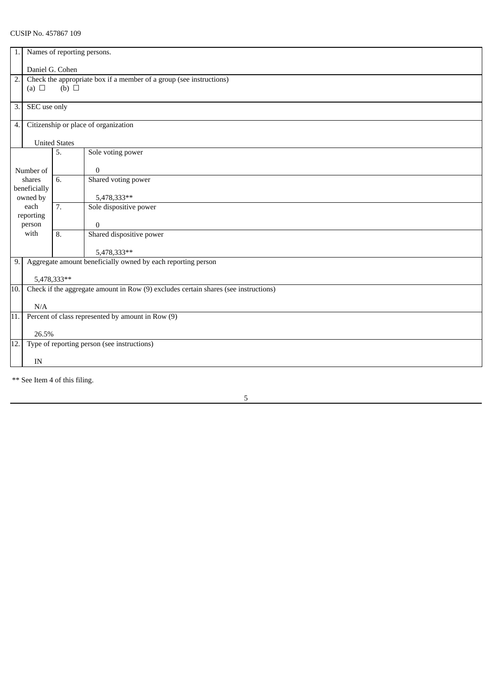| 1.                                                                                         | Names of reporting persons.                                                                          |                                             |                          |  |  |
|--------------------------------------------------------------------------------------------|------------------------------------------------------------------------------------------------------|---------------------------------------------|--------------------------|--|--|
| Daniel G. Cohen                                                                            |                                                                                                      |                                             |                          |  |  |
| 2.                                                                                         | Check the appropriate box if a member of a group (see instructions)<br>$(b)$ $\square$<br>(a) $\Box$ |                                             |                          |  |  |
|                                                                                            |                                                                                                      |                                             |                          |  |  |
| 3.                                                                                         | SEC use only                                                                                         |                                             |                          |  |  |
| Citizenship or place of organization<br>4.                                                 |                                                                                                      |                                             |                          |  |  |
| <b>United States</b>                                                                       |                                                                                                      |                                             |                          |  |  |
|                                                                                            |                                                                                                      | 5.                                          | Sole voting power        |  |  |
| Number of                                                                                  |                                                                                                      |                                             | 0                        |  |  |
| shares<br>beneficially                                                                     |                                                                                                      | 6.                                          | Shared voting power      |  |  |
| owned by                                                                                   |                                                                                                      |                                             | 5,478,333**              |  |  |
| each<br>reporting                                                                          |                                                                                                      | 7.                                          | Sole dispositive power   |  |  |
| person                                                                                     |                                                                                                      |                                             | $\Omega$                 |  |  |
| with                                                                                       |                                                                                                      | 8.                                          | Shared dispositive power |  |  |
|                                                                                            |                                                                                                      |                                             | 5,478,333**              |  |  |
| Aggregate amount beneficially owned by each reporting person<br>9.                         |                                                                                                      |                                             |                          |  |  |
|                                                                                            | 5,478,333**                                                                                          |                                             |                          |  |  |
| Check if the aggregate amount in Row (9) excludes certain shares (see instructions)<br>10. |                                                                                                      |                                             |                          |  |  |
|                                                                                            | N/A                                                                                                  |                                             |                          |  |  |
| Percent of class represented by amount in Row (9)<br>11.                                   |                                                                                                      |                                             |                          |  |  |
|                                                                                            | 26.5%                                                                                                |                                             |                          |  |  |
| 12.                                                                                        |                                                                                                      | Type of reporting person (see instructions) |                          |  |  |
|                                                                                            | IN                                                                                                   |                                             |                          |  |  |

\*\* See Item 4 of this filing.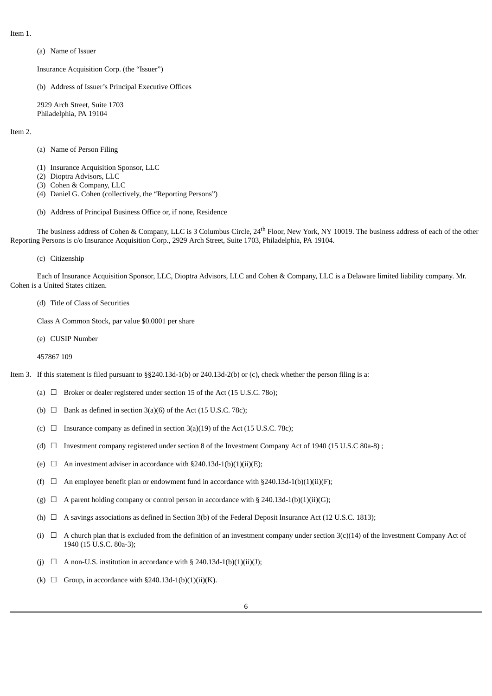Item 1.

(a) Name of Issuer

Insurance Acquisition Corp. (the "Issuer")

(b) Address of Issuer's Principal Executive Offices

2929 Arch Street, Suite 1703 Philadelphia, PA 19104

Item 2.

- (a) Name of Person Filing
- (1) Insurance Acquisition Sponsor, LLC
- (2) Dioptra Advisors, LLC
- (3) Cohen & Company, LLC
- (4) Daniel G. Cohen (collectively, the "Reporting Persons")
- (b) Address of Principal Business Office or, if none, Residence

The business address of Cohen & Company, LLC is 3 Columbus Circle, 24<sup>th</sup> Floor, New York, NY 10019. The business address of each of the other Reporting Persons is c/o Insurance Acquisition Corp., 2929 Arch Street, Suite 1703, Philadelphia, PA 19104.

(c) Citizenship

Each of Insurance Acquisition Sponsor, LLC, Dioptra Advisors, LLC and Cohen & Company, LLC is a Delaware limited liability company. Mr. Cohen is a United States citizen.

(d) Title of Class of Securities

Class A Common Stock, par value \$0.0001 per share

(e) CUSIP Number

457867 109

Item 3. If this statement is filed pursuant to §§240.13d-1(b) or 240.13d-2(b) or (c), check whether the person filing is a:

- (a)  $\Box$  Broker or dealer registered under section 15 of the Act (15 U.S.C. 780);
- (b)  $\Box$  Bank as defined in section 3(a)(6) of the Act (15 U.S.C. 78c);
- (c)  $\Box$  Insurance company as defined in section 3(a)(19) of the Act (15 U.S.C. 78c);
- (d) ☐ Investment company registered under section 8 of the Investment Company Act of 1940 (15 U.S.C 80a-8) ;
- (e)  $\Box$  An investment adviser in accordance with §240.13d-1(b)(1)(ii)(E);
- (f)  $\Box$  An employee benefit plan or endowment fund in accordance with §240.13d-1(b)(1)(ii)(F);
- (g)  $\Box$  A parent holding company or control person in accordance with § 240.13d-1(b)(1)(ii)(G);
- (h)  $\Box$  A savings associations as defined in Section 3(b) of the Federal Deposit Insurance Act (12 U.S.C. 1813);
- (i)  $\Box$  A church plan that is excluded from the definition of an investment company under section 3(c)(14) of the Investment Company Act of 1940 (15 U.S.C. 80a-3);
- (j)  $\Box$  A non-U.S. institution in accordance with § 240.13d-1(b)(1)(ii)(J);
- (k)  $\Box$  Group, in accordance with §240.13d-1(b)(1)(ii)(K).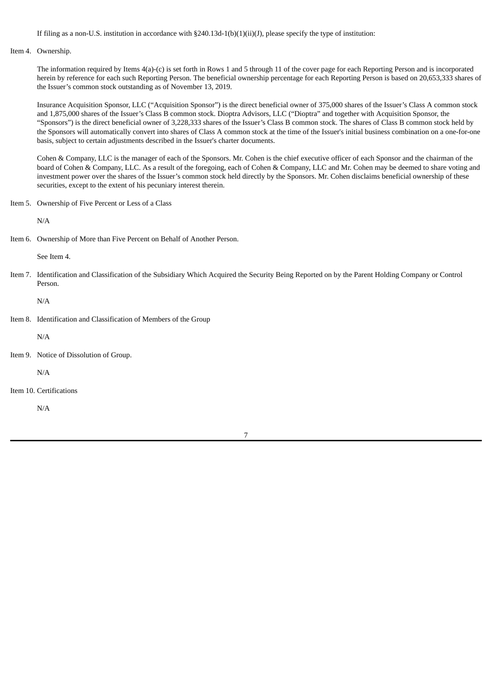If filing as a non-U.S. institution in accordance with  $\S 240.13d-1(b)(1)(ii)(J)$ , please specify the type of institution:

#### Item 4. Ownership.

The information required by Items 4(a)-(c) is set forth in Rows 1 and 5 through 11 of the cover page for each Reporting Person and is incorporated herein by reference for each such Reporting Person. The beneficial ownership percentage for each Reporting Person is based on 20,653,333 shares of the Issuer's common stock outstanding as of November 13, 2019.

Insurance Acquisition Sponsor, LLC ("Acquisition Sponsor") is the direct beneficial owner of 375,000 shares of the Issuer's Class A common stock and 1,875,000 shares of the Issuer's Class B common stock. Dioptra Advisors, LLC ("Dioptra" and together with Acquisition Sponsor, the "Sponsors") is the direct beneficial owner of 3,228,333 shares of the Issuer's Class B common stock. The shares of Class B common stock held by the Sponsors will automatically convert into shares of Class A common stock at the time of the Issuer's initial business combination on a one-for-one basis, subject to certain adjustments described in the Issuer's charter documents.

Cohen & Company, LLC is the manager of each of the Sponsors. Mr. Cohen is the chief executive officer of each Sponsor and the chairman of the board of Cohen & Company, LLC. As a result of the foregoing, each of Cohen & Company, LLC and Mr. Cohen may be deemed to share voting and investment power over the shares of the Issuer's common stock held directly by the Sponsors. Mr. Cohen disclaims beneficial ownership of these securities, except to the extent of his pecuniary interest therein.

Item 5. Ownership of Five Percent or Less of a Class

N/A

Item 6. Ownership of More than Five Percent on Behalf of Another Person.

See Item 4.

Item 7. Identification and Classification of the Subsidiary Which Acquired the Security Being Reported on by the Parent Holding Company or Control Person.

N/A

Item 8. Identification and Classification of Members of the Group

N/A

Item 9. Notice of Dissolution of Group.

N/A

Item 10. Certifications

N/A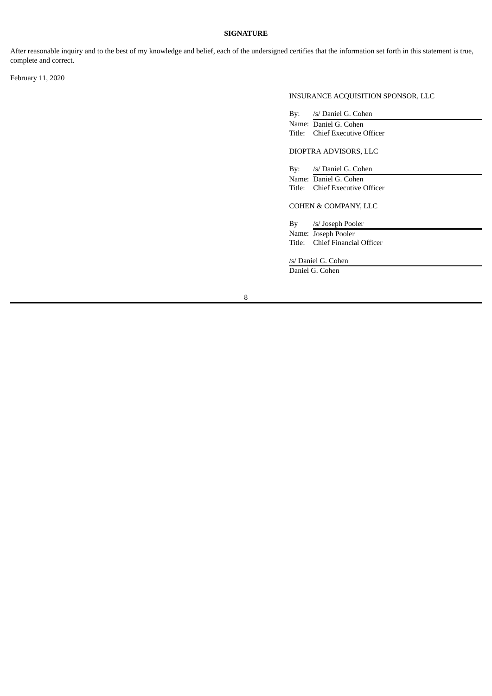# **SIGNATURE**

After reasonable inquiry and to the best of my knowledge and belief, each of the undersigned certifies that the information set forth in this statement is true, complete and correct.

February 11, 2020

# INSURANCE ACQUISITION SPONSOR, LLC

| By: | /s/ Daniel G. Cohen   |
|-----|-----------------------|
|     | Name: Daniel G. Cohen |

Title: Chief Executive Officer

DIOPTRA ADVISORS, LLC

By: /s/ Daniel G. Cohen Name: Daniel G. Cohen Title: Chief Executive Officer

COHEN & COMPANY, LLC

By /s/ Joseph Pooler Name: Joseph Pooler Title: Chief Financial Officer

/s/ Daniel G. Cohen

Daniel G. Cohen